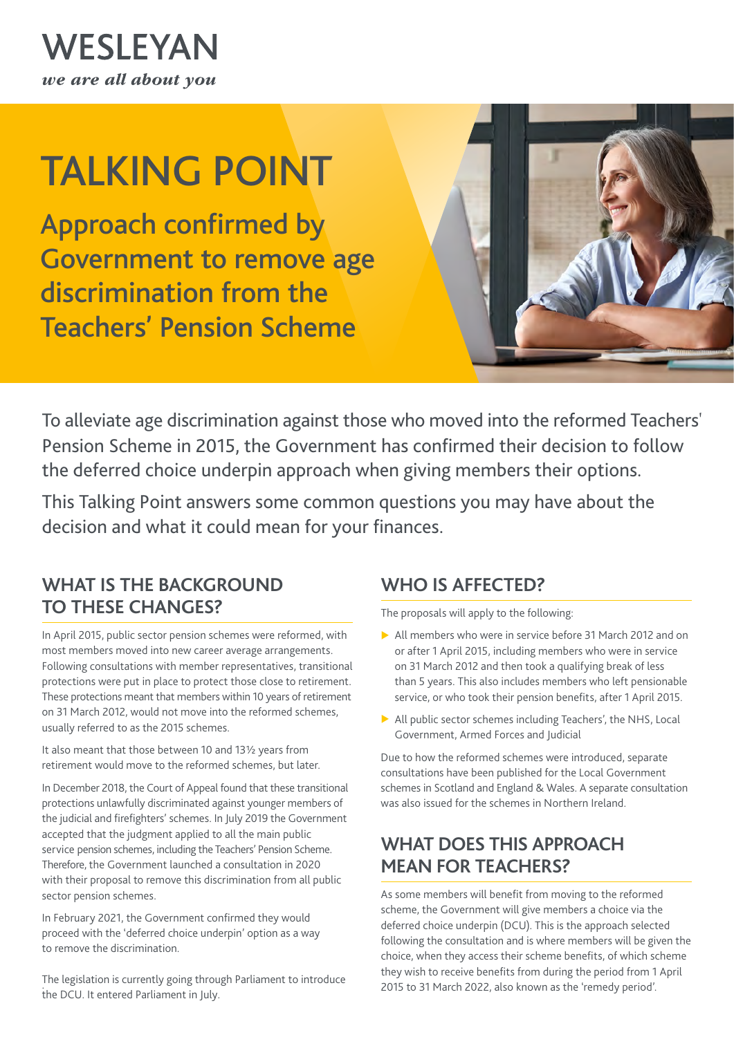

# TALKING POINT

Approach confirmed by Government to remove age discrimination from the Teachers' Pension Scheme



To alleviate age discrimination against those who moved into the reformed Teachers' Pension Scheme in 2015, the Government has confirmed their decision to follow the deferred choice underpin approach when giving members their options.

This Talking Point answers some common questions you may have about the decision and what it could mean for your finances.

#### **WHAT IS THE BACKGROUND TO THESE CHANGES?**

In April 2015, public sector pension schemes were reformed, with most members moved into new career average arrangements. Following consultations with member representatives, transitional protections were put in place to protect those close to retirement. These protections meant that members within 10 years of retirement on 31 March 2012, would not move into the reformed schemes, usually referred to as the 2015 schemes.

It also meant that those between 10 and 13½ years from retirement would move to the reformed schemes, but later.

In December 2018, the Court of Appeal found that these transitional protections unlawfully discriminated against younger members of the judicial and firefighters' schemes. In July 2019 the Government accepted that the judgment applied to all the main public service pension schemes, including the Teachers' Pension Scheme. Therefore, the Government launched a consultation in 2020 with their proposal to remove this discrimination from all public sector pension schemes.

In February 2021, the Government confirmed they would proceed with the 'deferred choice underpin' option as a way to remove the discrimination.

The legislation is currently going through Parliament to introduce the DCU. It entered Parliament in July.

## **WHO IS AFFECTED?**

The proposals will apply to the following:

- $\triangleright$  All members who were in service before 31 March 2012 and on or after 1 April 2015, including members who were in service on 31 March 2012 and then took a qualifying break of less than 5 years. This also includes members who left pensionable service, or who took their pension benefits, after 1 April 2015.
- $\blacktriangleright$  All public sector schemes including Teachers', the NHS, Local Government, Armed Forces and Judicial

Due to how the reformed schemes were introduced, separate consultations have been published for the Local Government schemes in Scotland and England & Wales. A separate consultation was also issued for the schemes in Northern Ireland.

## **WHAT DOES THIS APPROACH MEAN FOR TEACHERS?**

As some members will benefit from moving to the reformed scheme, the Government will give members a choice via the deferred choice underpin (DCU). This is the approach selected following the consultation and is where members will be given the choice, when they access their scheme benefits, of which scheme they wish to receive benefits from during the period from 1 April 2015 to 31 March 2022, also known as the 'remedy period'.